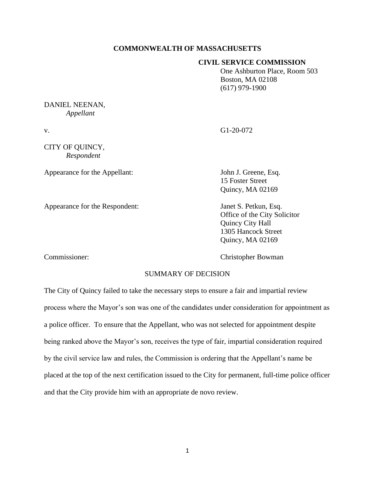## **COMMONWEALTH OF MASSACHUSETTS**

## **CIVIL SERVICE COMMISSION**

One Ashburton Place, Room 503 Boston, MA 02108 (617) 979-1900

# DANIEL NEENAN, *Appellant*

CITY OF QUINCY, *Respondent*

Appearance for the Appellant: John J. Greene, Esq.

v. G1-20-072

15 Foster Street Quincy, MA 02169

Appearance for the Respondent: Janet S. Petkun, Esq. Office of the City Solicitor Quincy City Hall 1305 Hancock Street Quincy, MA 02169

Commissioner: Christopher Bowman

# SUMMARY OF DECISION

The City of Quincy failed to take the necessary steps to ensure a fair and impartial review process where the Mayor's son was one of the candidates under consideration for appointment as a police officer. To ensure that the Appellant, who was not selected for appointment despite being ranked above the Mayor's son, receives the type of fair, impartial consideration required by the civil service law and rules, the Commission is ordering that the Appellant's name be placed at the top of the next certification issued to the City for permanent, full-time police officer and that the City provide him with an appropriate de novo review.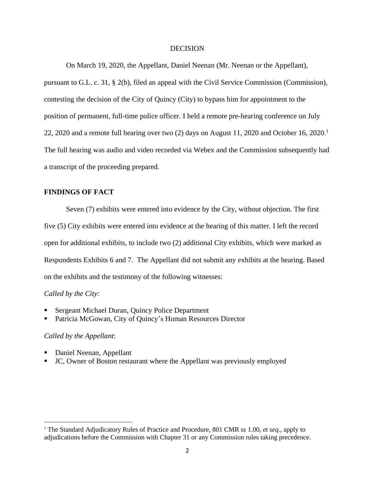#### **DECISION**

On March 19, 2020, the Appellant, Daniel Neenan (Mr. Neenan or the Appellant), pursuant to G.L. c. 31, § 2(b), filed an appeal with the Civil Service Commission (Commission), contesting the decision of the City of Quincy (City) to bypass him for appointment to the position of permanent, full-time police officer. I held a remote pre-hearing conference on July 22, 2020 and a remote full hearing over two  $(2)$  days on August 11, 2020 and October 16, 2020.<sup>1</sup> The full hearing was audio and video recorded via Webex and the Commission subsequently had a transcript of the proceeding prepared.

# **FINDINGS OF FACT**

Seven (7) exhibits were entered into evidence by the City, without objection. The first five (5) City exhibits were entered into evidence at the hearing of this matter. I left the record open for additional exhibits, to include two (2) additional City exhibits, which were marked as Respondents Exhibits 6 and 7. The Appellant did not submit any exhibits at the hearing. Based on the exhibits and the testimony of the following witnesses:

### *Called by the City:*

- Sergeant Michael Duran, Quincy Police Department
- Patricia McGowan, City of Quincy's Human Resources Director

## *Called by the Appellant*:

- Daniel Neenan, Appellant
- JC, Owner of Boston restaurant where the Appellant was previously employed

<sup>1</sup> The Standard Adjudicatory Rules of Practice and Procedure, 801 CMR ss 1.00, *et seq*., apply to adjudications before the Commission with Chapter 31 or any Commission rules taking precedence.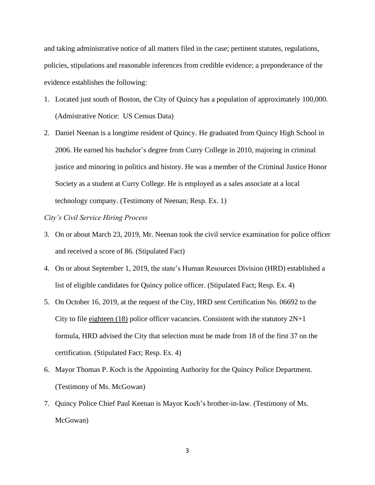and taking administrative notice of all matters filed in the case; pertinent statutes, regulations, policies, stipulations and reasonable inferences from credible evidence; a preponderance of the evidence establishes the following:

- 1. Located just south of Boston, the City of Quincy has a population of approximately 100,000. (Admistrative Notice: US Census Data)
- 2. Daniel Neenan is a longtime resident of Quincy. He graduated from Quincy High School in 2006. He earned his bachelor's degree from Curry College in 2010, majoring in criminal justice and minoring in politics and history. He was a member of the Criminal Justice Honor Society as a student at Curry College. He is employed as a sales associate at a local technology company. (Testimony of Neenan; Resp. Ex. 1)

## *City's Civil Service Hiring Process*

- 3. On or about March 23, 2019, Mr. Neenan took the civil service examination for police officer and received a score of 86. (Stipulated Fact)
- 4. On or about September 1, 2019, the state's Human Resources Division (HRD) established a list of eligible candidates for Quincy police officer. (Stipulated Fact; Resp. Ex. 4)
- 5. On October 16, 2019, at the request of the City, HRD sent Certification No. 06692 to the City to file eighteen  $(18)$  police officer vacancies. Consistent with the statutory  $2N+1$ formula, HRD advised the City that selection must be made from 18 of the first 37 on the certification. (Stipulated Fact; Resp. Ex. 4)
- 6. Mayor Thomas P. Koch is the Appointing Authority for the Quincy Police Department. (Testimony of Ms. McGowan)
- 7. Quincy Police Chief Paul Keenan is Mayor Koch's brother-in-law. (Testimony of Ms. McGowan)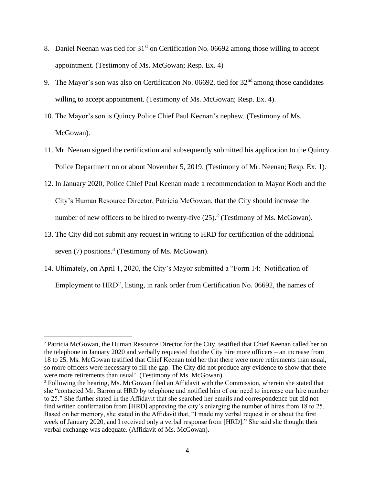- 8. Daniel Neenan was tied for  $31<sup>st</sup>$  on Certification No. 06692 among those willing to accept appointment. (Testimony of Ms. McGowan; Resp. Ex. 4)
- 9. The Mayor's son was also on Certification No. 06692, tied for  $32<sup>nd</sup>$  among those candidates willing to accept appointment. (Testimony of Ms. McGowan; Resp. Ex. 4).
- 10. The Mayor's son is Quincy Police Chief Paul Keenan's nephew. (Testimony of Ms. McGowan).
- 11. Mr. Neenan signed the certification and subsequently submitted his application to the Quincy Police Department on or about November 5, 2019. (Testimony of Mr. Neenan; Resp. Ex. 1).
- 12. In January 2020, Police Chief Paul Keenan made a recommendation to Mayor Koch and the City's Human Resource Director, Patricia McGowan, that the City should increase the number of new officers to be hired to twenty-five  $(25)$ .<sup>2</sup> (Testimony of Ms. McGowan).
- 13. The City did not submit any request in writing to HRD for certification of the additional seven (7) positions.<sup>3</sup> (Testimony of Ms. McGowan).
- 14. Ultimately, on April 1, 2020, the City's Mayor submitted a "Form 14: Notification of Employment to HRD", listing, in rank order from Certification No. 06692, the names of

<sup>2</sup> Patricia McGowan, the Human Resource Director for the City, testified that Chief Keenan called her on the telephone in January 2020 and verbally requested that the City hire more officers – an increase from 18 to 25. Ms. McGowan testified that Chief Keenan told her that there were more retirements than usual, so more officers were necessary to fill the gap. The City did not produce any evidence to show that there were more retirements than usual'. (Testimony of Ms. McGowan).

<sup>&</sup>lt;sup>3</sup> Following the hearing, Ms. McGowan filed an Affidavit with the Commission, wherein she stated that she "contacted Mr. Barron at HRD by telephone and notified him of our need to increase our hire number to 25." She further stated in the Affidavit that she searched her emails and correspondence but did not find written confirmation from [HRD] approving the city's enlarging the number of hires from 18 to 25. Based on her memory, she stated in the Affidavit that, "I made my verbal request in or about the first week of January 2020, and I received only a verbal response from [HRD]." She said she thought their verbal exchange was adequate. (Affidavit of Ms. McGowan).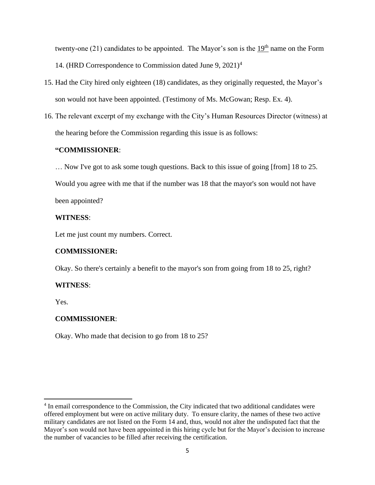twenty-one  $(21)$  candidates to be appointed. The Mayor's son is the 19<sup>th</sup> name on the Form 14. (HRD Correspondence to Commission dated June 9, 2021)<sup>4</sup>

- 15. Had the City hired only eighteen (18) candidates, as they originally requested, the Mayor's son would not have been appointed. (Testimony of Ms. McGowan; Resp. Ex. 4).
- 16. The relevant excerpt of my exchange with the City's Human Resources Director (witness) at the hearing before the Commission regarding this issue is as follows:

# **"COMMISSIONER**:

… Now I've got to ask some tough questions. Back to this issue of going [from] 18 to 25. Would you agree with me that if the number was 18 that the mayor's son would not have been appointed?

# **WITNESS**:

Let me just count my numbers. Correct.

# **COMMISSIONER:**

Okay. So there's certainly a benefit to the mayor's son from going from 18 to 25, right?

# **WITNESS**:

Yes.

# **COMMISSIONER**:

Okay. Who made that decision to go from 18 to 25?

<sup>&</sup>lt;sup>4</sup> In email correspondence to the Commission, the City indicated that two additional candidates were offered employment but were on active military duty. To ensure clarity, the names of these two active military candidates are not listed on the Form 14 and, thus, would not alter the undisputed fact that the Mayor's son would not have been appointed in this hiring cycle but for the Mayor's decision to increase the number of vacancies to be filled after receiving the certification.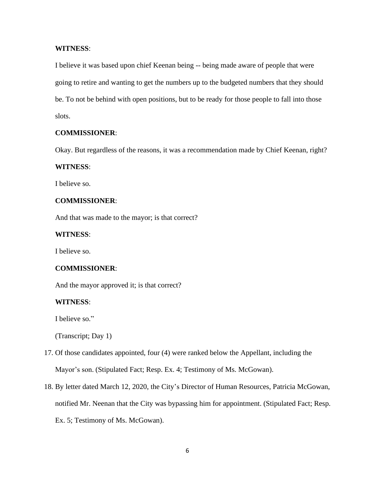## **WITNESS**:

I believe it was based upon chief Keenan being -- being made aware of people that were going to retire and wanting to get the numbers up to the budgeted numbers that they should be. To not be behind with open positions, but to be ready for those people to fall into those slots.

## **COMMISSIONER**:

Okay. But regardless of the reasons, it was a recommendation made by Chief Keenan, right?

#### **WITNESS**:

I believe so.

## **COMMISSIONER**:

And that was made to the mayor; is that correct?

## **WITNESS**:

I believe so.

#### **COMMISSIONER**:

And the mayor approved it; is that correct?

#### **WITNESS**:

I believe so."

(Transcript; Day 1)

- 17. Of those candidates appointed, four (4) were ranked below the Appellant, including the Mayor's son. (Stipulated Fact; Resp. Ex. 4; Testimony of Ms. McGowan).
- 18. By letter dated March 12, 2020, the City's Director of Human Resources, Patricia McGowan, notified Mr. Neenan that the City was bypassing him for appointment. (Stipulated Fact; Resp. Ex. 5; Testimony of Ms. McGowan).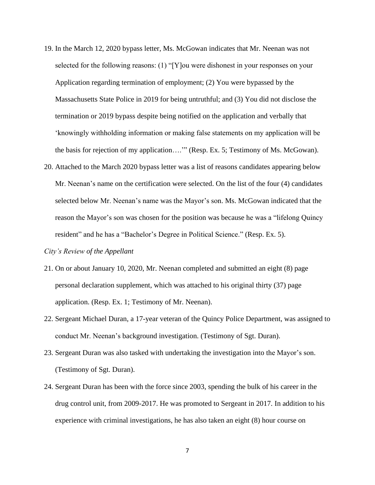- 19. In the March 12, 2020 bypass letter, Ms. McGowan indicates that Mr. Neenan was not selected for the following reasons: (1) "[Y]ou were dishonest in your responses on your Application regarding termination of employment; (2) You were bypassed by the Massachusetts State Police in 2019 for being untruthful; and (3) You did not disclose the termination or 2019 bypass despite being notified on the application and verbally that 'knowingly withholding information or making false statements on my application will be the basis for rejection of my application….'" (Resp. Ex. 5; Testimony of Ms. McGowan).
- 20. Attached to the March 2020 bypass letter was a list of reasons candidates appearing below Mr. Neenan's name on the certification were selected. On the list of the four (4) candidates selected below Mr. Neenan's name was the Mayor's son. Ms. McGowan indicated that the reason the Mayor's son was chosen for the position was because he was a "lifelong Quincy resident" and he has a "Bachelor's Degree in Political Science." (Resp. Ex. 5).

#### *City's Review of the Appellant*

- 21. On or about January 10, 2020, Mr. Neenan completed and submitted an eight (8) page personal declaration supplement, which was attached to his original thirty (37) page application. (Resp. Ex. 1; Testimony of Mr. Neenan).
- 22. Sergeant Michael Duran, a 17-year veteran of the Quincy Police Department, was assigned to conduct Mr. Neenan's background investigation. (Testimony of Sgt. Duran).
- 23. Sergeant Duran was also tasked with undertaking the investigation into the Mayor's son. (Testimony of Sgt. Duran).
- 24. Sergeant Duran has been with the force since 2003, spending the bulk of his career in the drug control unit, from 2009-2017. He was promoted to Sergeant in 2017. In addition to his experience with criminal investigations, he has also taken an eight (8) hour course on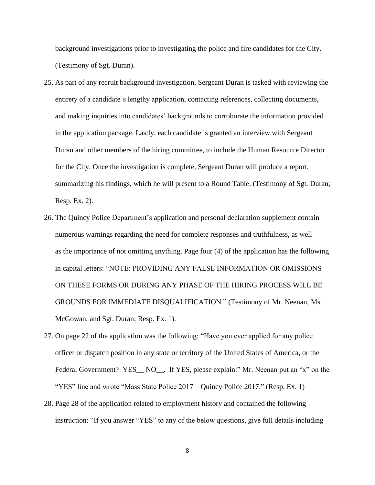background investigations prior to investigating the police and fire candidates for the City. (Testimony of Sgt. Duran).

- 25. As part of any recruit background investigation, Sergeant Duran is tasked with reviewing the entirety of a candidate's lengthy application, contacting references, collecting documents, and making inquiries into candidates' backgrounds to corroborate the information provided in the application package. Lastly, each candidate is granted an interview with Sergeant Duran and other members of the hiring committee, to include the Human Resource Director for the City. Once the investigation is complete, Sergeant Duran will produce a report, summarizing his findings, which he will present to a Round Table. (Testimony of Sgt. Duran; Resp. Ex. 2).
- 26. The Quincy Police Department's application and personal declaration supplement contain numerous warnings regarding the need for complete responses and truthfulness, as well as the importance of not omitting anything. Page four (4) of the application has the following in capital letters: "NOTE: PROVIDING ANY FALSE INFORMATION OR OMISSIONS ON THESE FORMS OR DURING ANY PHASE OF THE HIRING PROCESS WILL BE GROUNDS FOR IMMEDIATE DISQUALIFICATION." (Testimony of Mr. Neenan, Ms. McGowan, and Sgt. Duran; Resp. Ex. 1).
- 27. On page 22 of the application was the following: "Have you ever applied for any police officer or dispatch position in any state or territory of the United States of America, or the Federal Government? YES\_\_ NO\_\_. If YES, please explain:" Mr. Neenan put an "x" on the "YES" line and wrote "Mass State Police 2017 – Quincy Police 2017." (Resp. Ex. 1)
- 28. Page 28 of the application related to employment history and contained the following instruction: "If you answer "YES" to any of the below questions, give full details including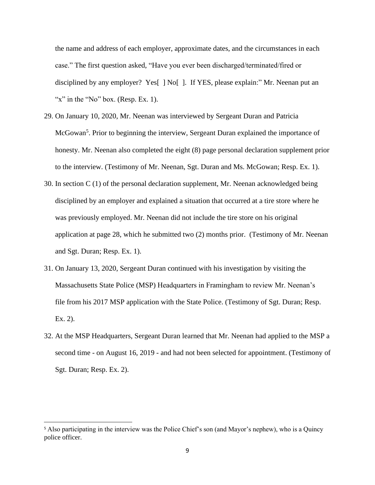the name and address of each employer, approximate dates, and the circumstances in each case." The first question asked, "Have you ever been discharged/terminated/fired or disciplined by any employer? Yes[ ] No[ ]. If YES, please explain:" Mr. Neenan put an "x" in the "No" box. (Resp. Ex. 1).

- 29. On January 10, 2020, Mr. Neenan was interviewed by Sergeant Duran and Patricia McGowan<sup>5</sup>. Prior to beginning the interview, Sergeant Duran explained the importance of honesty. Mr. Neenan also completed the eight (8) page personal declaration supplement prior to the interview. (Testimony of Mr. Neenan, Sgt. Duran and Ms. McGowan; Resp. Ex. 1).
- 30. In section C (1) of the personal declaration supplement, Mr. Neenan acknowledged being disciplined by an employer and explained a situation that occurred at a tire store where he was previously employed. Mr. Neenan did not include the tire store on his original application at page 28, which he submitted two (2) months prior. (Testimony of Mr. Neenan and Sgt. Duran; Resp. Ex. 1).
- 31. On January 13, 2020, Sergeant Duran continued with his investigation by visiting the Massachusetts State Police (MSP) Headquarters in Framingham to review Mr. Neenan's file from his 2017 MSP application with the State Police. (Testimony of Sgt. Duran; Resp. Ex. 2).
- 32. At the MSP Headquarters, Sergeant Duran learned that Mr. Neenan had applied to the MSP a second time - on August 16, 2019 - and had not been selected for appointment. (Testimony of Sgt. Duran; Resp. Ex. 2).

<sup>&</sup>lt;sup>5</sup> Also participating in the interview was the Police Chief's son (and Mayor's nephew), who is a Quincy police officer.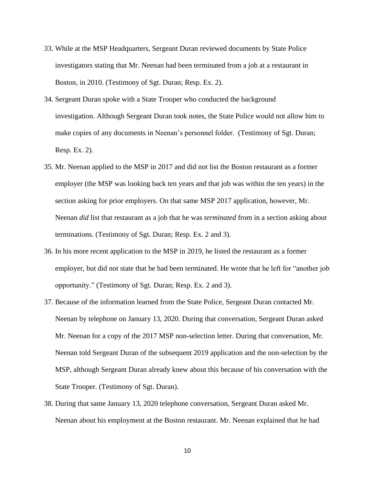- 33. While at the MSP Headquarters, Sergeant Duran reviewed documents by State Police investigators stating that Mr. Neenan had been terminated from a job at a restaurant in Boston, in 2010. (Testimony of Sgt. Duran; Resp. Ex. 2).
- 34. Sergeant Duran spoke with a State Trooper who conducted the background investigation. Although Sergeant Duran took notes, the State Police would not allow him to make copies of any documents in Neenan's personnel folder. (Testimony of Sgt. Duran; Resp. Ex. 2).
- 35. Mr. Neenan applied to the MSP in 2017 and did not list the Boston restaurant as a former employer (the MSP was looking back ten years and that job was within the ten years) in the section asking for prior employers. On that same MSP 2017 application, however, Mr. Neenan *did* list that restaurant as a job that he was *terminated* from in a section asking about terminations. (Testimony of Sgt. Duran; Resp. Ex. 2 and 3).
- 36. In his more recent application to the MSP in 2019, he listed the restaurant as a former employer, but did not state that he had been terminated. He wrote that he left for "another job opportunity." (Testimony of Sgt. Duran; Resp. Ex. 2 and 3).
- 37. Because of the information learned from the State Police, Sergeant Duran contacted Mr. Neenan by telephone on January 13, 2020. During that conversation, Sergeant Duran asked Mr. Neenan for a copy of the 2017 MSP non-selection letter. During that conversation, Mr. Neenan told Sergeant Duran of the subsequent 2019 application and the non-selection by the MSP, although Sergeant Duran already knew about this because of his conversation with the State Trooper. (Testimony of Sgt. Duran).
- 38. During that same January 13, 2020 telephone conversation, Sergeant Duran asked Mr. Neenan about his employment at the Boston restaurant. Mr. Neenan explained that he had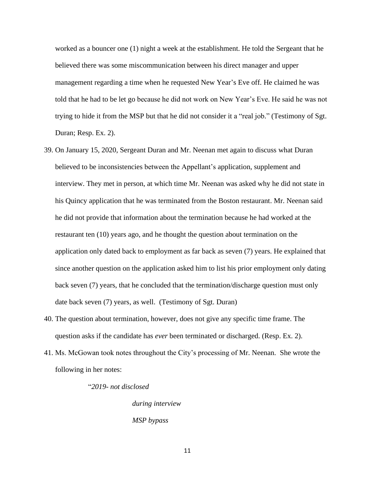worked as a bouncer one (1) night a week at the establishment. He told the Sergeant that he believed there was some miscommunication between his direct manager and upper management regarding a time when he requested New Year's Eve off. He claimed he was told that he had to be let go because he did not work on New Year's Eve. He said he was not trying to hide it from the MSP but that he did not consider it a "real job." (Testimony of Sgt. Duran; Resp. Ex. 2).

- 39. On January 15, 2020, Sergeant Duran and Mr. Neenan met again to discuss what Duran believed to be inconsistencies between the Appellant's application, supplement and interview. They met in person, at which time Mr. Neenan was asked why he did not state in his Quincy application that he was terminated from the Boston restaurant. Mr. Neenan said he did not provide that information about the termination because he had worked at the restaurant ten (10) years ago, and he thought the question about termination on the application only dated back to employment as far back as seven (7) years. He explained that since another question on the application asked him to list his prior employment only dating back seven (7) years, that he concluded that the termination/discharge question must only date back seven (7) years, as well. (Testimony of Sgt. Duran)
- 40. The question about termination, however, does not give any specific time frame. The question asks if the candidate has *ever* been terminated or discharged. (Resp. Ex. 2).
- 41. Ms. McGowan took notes throughout the City's processing of Mr. Neenan. She wrote the following in her notes:

"*2019- not disclosed*

*during interview MSP bypass*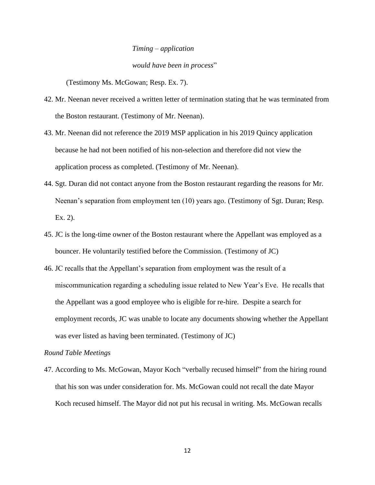# *Timing – application would have been in process*"

(Testimony Ms. McGowan; Resp. Ex. 7).

- 42. Mr. Neenan never received a written letter of termination stating that he was terminated from the Boston restaurant. (Testimony of Mr. Neenan).
- 43. Mr. Neenan did not reference the 2019 MSP application in his 2019 Quincy application because he had not been notified of his non-selection and therefore did not view the application process as completed. (Testimony of Mr. Neenan).
- 44. Sgt. Duran did not contact anyone from the Boston restaurant regarding the reasons for Mr. Neenan's separation from employment ten (10) years ago. (Testimony of Sgt. Duran; Resp. Ex. 2).
- 45. JC is the long-time owner of the Boston restaurant where the Appellant was employed as a bouncer. He voluntarily testified before the Commission. (Testimony of JC)
- 46. JC recalls that the Appellant's separation from employment was the result of a miscommunication regarding a scheduling issue related to New Year's Eve. He recalls that the Appellant was a good employee who is eligible for re-hire. Despite a search for employment records, JC was unable to locate any documents showing whether the Appellant was ever listed as having been terminated. (Testimony of JC)

#### *Round Table Meetings*

47. According to Ms. McGowan, Mayor Koch "verbally recused himself" from the hiring round that his son was under consideration for. Ms. McGowan could not recall the date Mayor Koch recused himself. The Mayor did not put his recusal in writing. Ms. McGowan recalls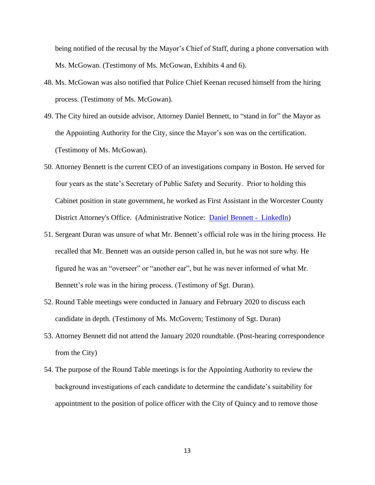being notified of the recusal by the Mayor's Chief of Staff, during a phone conversation with Ms. McGowan. (Testimony of Ms. McGowan, Exhibits 4 and 6).

- 48. Ms. McGowan was also notified that Police Chief Keenan recused himself from the hiring process. (Testimony of Ms. McGowan).
- 49. The City hired an outside advisor, Attorney Daniel Bennett, to "stand in for" the Mayor as the Appointing Authority for the City, since the Mayor's son was on the certification. (Testimony of Ms. McGowan).
- 50. Attorney Bennett is the current CEO of an investigations company in Boston. He served for four years as the state's Secretary of Public Safety and Security. Prior to holding this Cabinet position in state government, he worked as First Assistant in the Worcester County District Attorney's Office. (Administrative Notice: [Daniel Bennett](https://www.linkedin.com/in/daniel-bennett-981853145) - LinkedIn)
- 51. Sergeant Duran was unsure of what Mr. Bennett's official role was in the hiring process. He recalled that Mr. Bennett was an outside person called in, but he was not sure why. He figured he was an "overseer" or "another ear", but he was never informed of what Mr. Bennett's role was in the hiring process. (Testimony of Sgt. Duran).
- 52. Round Table meetings were conducted in January and February 2020 to discuss each candidate in depth. (Testimony of Ms. McGovern; Testimony of Sgt. Duran)
- 53. Attorney Bennett did not attend the January 2020 roundtable. (Post-hearing correspondence from the City)
- 54. The purpose of the Round Table meetings is for the Appointing Authority to review the background investigations of each candidate to determine the candidate's suitability for appointment to the position of police officer with the City of Quincy and to remove those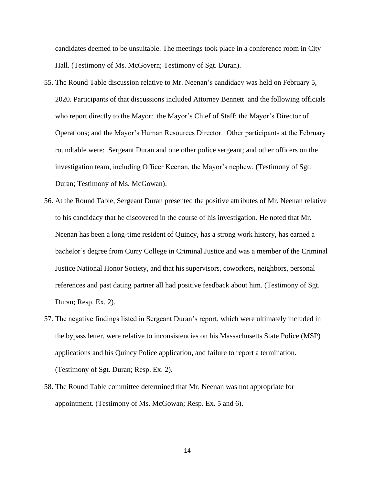candidates deemed to be unsuitable. The meetings took place in a conference room in City Hall. (Testimony of Ms. McGovern; Testimony of Sgt. Duran).

- 55. The Round Table discussion relative to Mr. Neenan's candidacy was held on February 5, 2020. Participants of that discussions included Attorney Bennett and the following officials who report directly to the Mayor: the Mayor's Chief of Staff; the Mayor's Director of Operations; and the Mayor's Human Resources Director. Other participants at the February roundtable were: Sergeant Duran and one other police sergeant; and other officers on the investigation team, including Officer Keenan, the Mayor's nephew. (Testimony of Sgt. Duran; Testimony of Ms. McGowan).
- 56. At the Round Table, Sergeant Duran presented the positive attributes of Mr. Neenan relative to his candidacy that he discovered in the course of his investigation. He noted that Mr. Neenan has been a long-time resident of Quincy, has a strong work history, has earned a bachelor's degree from Curry College in Criminal Justice and was a member of the Criminal Justice National Honor Society, and that his supervisors, coworkers, neighbors, personal references and past dating partner all had positive feedback about him. (Testimony of Sgt. Duran; Resp. Ex. 2).
- 57. The negative findings listed in Sergeant Duran's report, which were ultimately included in the bypass letter, were relative to inconsistencies on his Massachusetts State Police (MSP) applications and his Quincy Police application, and failure to report a termination. (Testimony of Sgt. Duran; Resp. Ex. 2).
- 58. The Round Table committee determined that Mr. Neenan was not appropriate for appointment. (Testimony of Ms. McGowan; Resp. Ex. 5 and 6).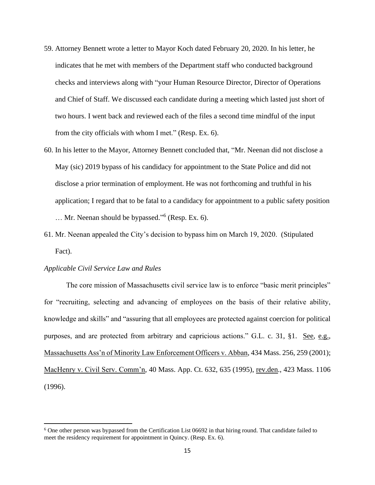- 59. Attorney Bennett wrote a letter to Mayor Koch dated February 20, 2020. In his letter, he indicates that he met with members of the Department staff who conducted background checks and interviews along with "your Human Resource Director, Director of Operations and Chief of Staff. We discussed each candidate during a meeting which lasted just short of two hours. I went back and reviewed each of the files a second time mindful of the input from the city officials with whom I met." (Resp. Ex. 6).
- 60. In his letter to the Mayor, Attorney Bennett concluded that, "Mr. Neenan did not disclose a May (sic) 2019 bypass of his candidacy for appointment to the State Police and did not disclose a prior termination of employment. He was not forthcoming and truthful in his application; I regard that to be fatal to a candidacy for appointment to a public safety position … Mr. Neenan should be bypassed." 6 (Resp. Ex. 6).
- 61. Mr. Neenan appealed the City's decision to bypass him on March 19, 2020. (Stipulated Fact).

#### *Applicable Civil Service Law and Rules*

The core mission of Massachusetts civil service law is to enforce "basic merit principles" for "recruiting, selecting and advancing of employees on the basis of their relative ability, knowledge and skills" and "assuring that all employees are protected against coercion for political purposes, and are protected from arbitrary and capricious actions." G.L. c. 31, §1. See, e.g., Massachusetts Ass'n of Minority Law Enforcement Officers v. Abban, 434 Mass. 256, 259 (2001); MacHenry v. Civil Serv. Comm'n, 40 Mass. App. Ct. 632, 635 (1995), rev.den., 423 Mass. 1106 (1996).

<sup>&</sup>lt;sup>6</sup> One other person was bypassed from the Certification List 06692 in that hiring round. That candidate failed to meet the residency requirement for appointment in Quincy. (Resp. Ex. 6).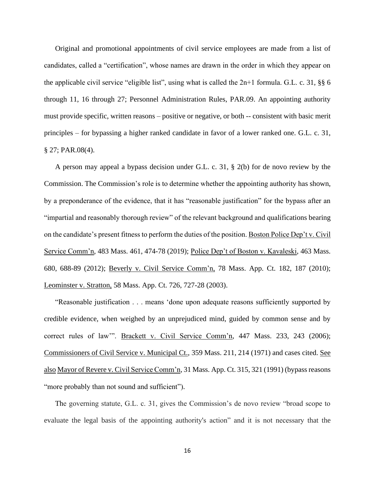Original and promotional appointments of civil service employees are made from a list of candidates, called a "certification", whose names are drawn in the order in which they appear on the applicable civil service "eligible list", using what is called the  $2n+1$  formula. G.L. c. 31, §§ 6 through 11, 16 through 27; Personnel Administration Rules, PAR.09. An appointing authority must provide specific, written reasons – positive or negative, or both -- consistent with basic merit principles – for bypassing a higher ranked candidate in favor of a lower ranked one. G.L. c. 31, § 27; PAR.08(4).

A person may appeal a bypass decision under G.L. c. 31, § 2(b) for de novo review by the Commission. The Commission's role is to determine whether the appointing authority has shown, by a preponderance of the evidence, that it has "reasonable justification" for the bypass after an "impartial and reasonably thorough review" of the relevant background and qualifications bearing on the candidate's present fitness to perform the duties of the position. Boston Police Dep't v. Civil Service Comm'n, 483 Mass. 461, 474-78 (2019); Police Dep't of Boston v. Kavaleski, 463 Mass. 680, 688-89 (2012); Beverly v. Civil Service Comm'n, 78 Mass. App. Ct. 182, 187 (2010); Leominster v. Stratton, 58 Mass. App. Ct. 726, 727-28 (2003).

"Reasonable justification . . . means 'done upon adequate reasons sufficiently supported by credible evidence, when weighed by an unprejudiced mind, guided by common sense and by correct rules of law"". Brackett v. Civil Service Comm'n, 447 Mass. 233, 243 (2006); Commissioners of Civil Service v. Municipal Ct., 359 Mass. 211, 214 (1971) and cases cited. See also Mayor of Revere v. Civil Service Comm'n, 31 Mass. App. Ct. 315, 321 (1991) (bypass reasons "more probably than not sound and sufficient").

The governing statute, G.L. c. 31, gives the Commission's de novo review "broad scope to evaluate the legal basis of the appointing authority's action" and it is not necessary that the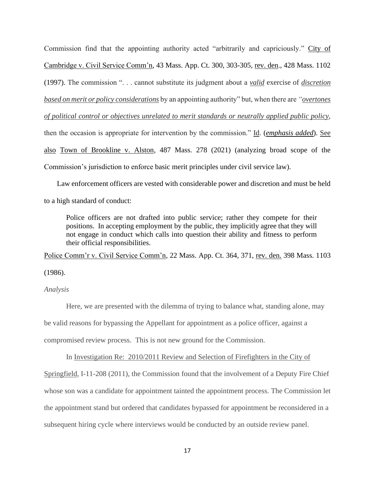Commission find that the appointing authority acted "arbitrarily and capriciously." City of Cambridge v. Civil Service Comm'n, 43 Mass. App. Ct. 300, 303-305, rev. den., 428 Mass. 1102 (1997). The commission ". . . cannot substitute its judgment about a *valid* exercise of *discretion based on merit or policy considerations* by an appointing authority" but, when there are *"overtones of political control or objectives unrelated to merit standards or neutrally applied public policy*, then the occasion is appropriate for intervention by the commission." Id. (*emphasis added*). See also Town of Brookline v. Alston, 487 Mass. 278 (2021) (analyzing broad scope of the Commission's jurisdiction to enforce basic merit principles under civil service law).

 Law enforcement officers are vested with considerable power and discretion and must be held to a high standard of conduct:

Police officers are not drafted into public service; rather they compete for their positions. In accepting employment by the public, they implicitly agree that they will not engage in conduct which calls into question their ability and fitness to perform their official responsibilities.

Police Comm'r v. Civil Service Comm'n, 22 Mass. App. Ct. 364, 371, rev. den. 398 Mass. 1103 (1986).

## *Analysis*

Here, we are presented with the dilemma of trying to balance what, standing alone, may be valid reasons for bypassing the Appellant for appointment as a police officer, against a compromised review process. This is not new ground for the Commission.

In Investigation Re: 2010/2011 Review and Selection of Firefighters in the City of

Springfield, I-11-208 (2011), the Commission found that the involvement of a Deputy Fire Chief whose son was a candidate for appointment tainted the appointment process. The Commission let the appointment stand but ordered that candidates bypassed for appointment be reconsidered in a subsequent hiring cycle where interviews would be conducted by an outside review panel.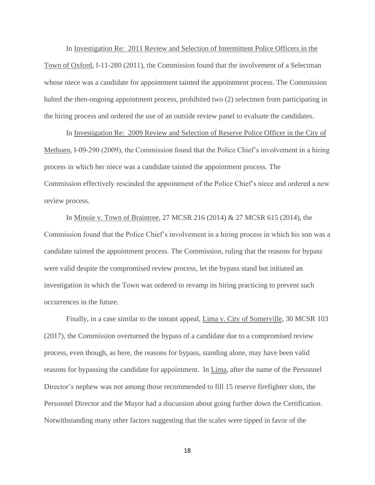In Investigation Re: 2011 Review and Selection of Intermittent Police Officers in the Town of Oxford, I-11-280 (2011), the Commission found that the involvement of a Selectman whose niece was a candidate for appointment tainted the appointment process. The Commission halted the then-ongoing appointment process, prohibited two (2) selectmen from participating in the hiring process and ordered the use of an outside review panel to evaluate the candidates.

In Investigation Re: 2009 Review and Selection of Reserve Police Officer in the City of Methuen, I-09-290 (2009), the Commission found that the Police Chief's involvement in a hiring process in which her niece was a candidate tainted the appointment process. The Commission effectively rescinded the appointment of the Police Chief's niece and ordered a new review process.

In Minoie v. Town of Braintree, 27 MCSR 216 (2014) & 27 MCSR 615 (2014), the Commission found that the Police Chief's involvement in a hiring process in which his son was a candidate tainted the appointment process. The Commission, ruling that the reasons for bypass were valid despite the compromised review process, let the bypass stand but initiated an investigation in which the Town was ordered to revamp its hiring practicing to prevent such occurrences in the future.

Finally, in a case similar to the instant appeal, Lima v. City of Somerville, 30 MCSR 103 (2017), the Commission overturned the bypass of a candidate due to a compromised review process, even though, as here, the reasons for bypass, standing alone, may have been valid reasons for bypassing the candidate for appointment. In Lima, after the name of the Personnel Director's nephew was not among those recommended to fill 15 reserve firefighter slots, the Personnel Director and the Mayor had a discussion about going further down the Certification. Notwithstanding many other factors suggesting that the scales were tipped in favor of the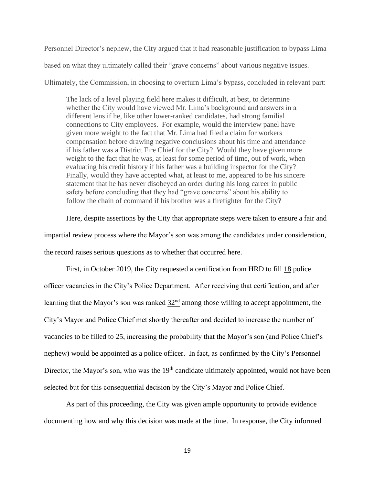Personnel Director's nephew, the City argued that it had reasonable justification to bypass Lima

based on what they ultimately called their "grave concerns" about various negative issues.

Ultimately, the Commission, in choosing to overturn Lima's bypass, concluded in relevant part:

The lack of a level playing field here makes it difficult, at best, to determine whether the City would have viewed Mr. Lima's background and answers in a different lens if he, like other lower-ranked candidates, had strong familial connections to City employees. For example, would the interview panel have given more weight to the fact that Mr. Lima had filed a claim for workers compensation before drawing negative conclusions about his time and attendance if his father was a District Fire Chief for the City? Would they have given more weight to the fact that he was, at least for some period of time, out of work, when evaluating his credit history if his father was a building inspector for the City? Finally, would they have accepted what, at least to me, appeared to be his sincere statement that he has never disobeyed an order during his long career in public safety before concluding that they had "grave concerns" about his ability to follow the chain of command if his brother was a firefighter for the City?

Here, despite assertions by the City that appropriate steps were taken to ensure a fair and impartial review process where the Mayor's son was among the candidates under consideration, the record raises serious questions as to whether that occurred here.

First, in October 2019, the City requested a certification from HRD to fill 18 police officer vacancies in the City's Police Department. After receiving that certification, and after learning that the Mayor's son was ranked  $32<sup>nd</sup>$  among those willing to accept appointment, the City's Mayor and Police Chief met shortly thereafter and decided to increase the number of vacancies to be filled to 25, increasing the probability that the Mayor's son (and Police Chief's nephew) would be appointed as a police officer. In fact, as confirmed by the City's Personnel Director, the Mayor's son, who was the  $19<sup>th</sup>$  candidate ultimately appointed, would not have been selected but for this consequential decision by the City's Mayor and Police Chief.

As part of this proceeding, the City was given ample opportunity to provide evidence documenting how and why this decision was made at the time. In response, the City informed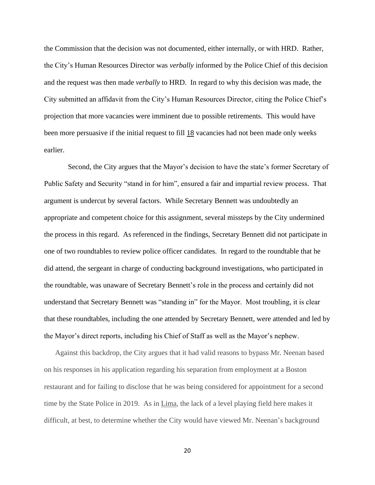the Commission that the decision was not documented, either internally, or with HRD. Rather, the City's Human Resources Director was *verbally* informed by the Police Chief of this decision and the request was then made *verbally* to HRD. In regard to why this decision was made, the City submitted an affidavit from the City's Human Resources Director, citing the Police Chief's projection that more vacancies were imminent due to possible retirements. This would have been more persuasive if the initial request to fill 18 vacancies had not been made only weeks earlier.

Second, the City argues that the Mayor's decision to have the state's former Secretary of Public Safety and Security "stand in for him", ensured a fair and impartial review process. That argument is undercut by several factors. While Secretary Bennett was undoubtedly an appropriate and competent choice for this assignment, several missteps by the City undermined the process in this regard. As referenced in the findings, Secretary Bennett did not participate in one of two roundtables to review police officer candidates. In regard to the roundtable that he did attend, the sergeant in charge of conducting background investigations, who participated in the roundtable, was unaware of Secretary Bennett's role in the process and certainly did not understand that Secretary Bennett was "standing in" for the Mayor. Most troubling, it is clear that these roundtables, including the one attended by Secretary Bennett, were attended and led by the Mayor's direct reports, including his Chief of Staff as well as the Mayor's nephew.

Against this backdrop, the City argues that it had valid reasons to bypass Mr. Neenan based on his responses in his application regarding his separation from employment at a Boston restaurant and for failing to disclose that he was being considered for appointment for a second time by the State Police in 2019. As in Lima, the lack of a level playing field here makes it difficult, at best, to determine whether the City would have viewed Mr. Neenan's background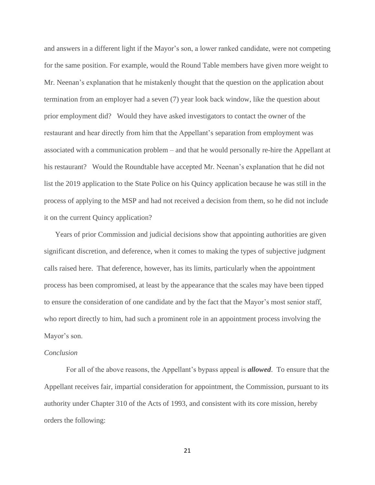and answers in a different light if the Mayor's son, a lower ranked candidate, were not competing for the same position. For example, would the Round Table members have given more weight to Mr. Neenan's explanation that he mistakenly thought that the question on the application about termination from an employer had a seven (7) year look back window, like the question about prior employment did? Would they have asked investigators to contact the owner of the restaurant and hear directly from him that the Appellant's separation from employment was associated with a communication problem – and that he would personally re-hire the Appellant at his restaurant? Would the Roundtable have accepted Mr. Neenan's explanation that he did not list the 2019 application to the State Police on his Quincy application because he was still in the process of applying to the MSP and had not received a decision from them, so he did not include it on the current Quincy application?

Years of prior Commission and judicial decisions show that appointing authorities are given significant discretion, and deference, when it comes to making the types of subjective judgment calls raised here. That deference, however, has its limits, particularly when the appointment process has been compromised, at least by the appearance that the scales may have been tipped to ensure the consideration of one candidate and by the fact that the Mayor's most senior staff, who report directly to him, had such a prominent role in an appointment process involving the Mayor's son.

#### *Conclusion*

For all of the above reasons, the Appellant's bypass appeal is *allowed*. To ensure that the Appellant receives fair, impartial consideration for appointment, the Commission, pursuant to its authority under Chapter 310 of the Acts of 1993, and consistent with its core mission, hereby orders the following: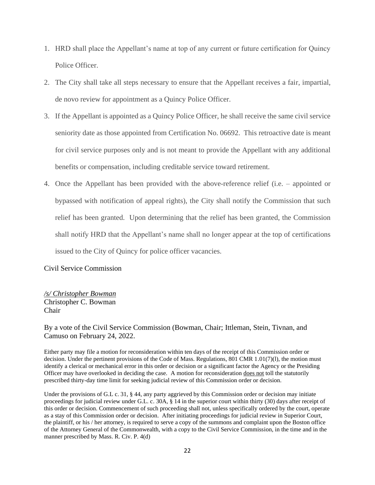- 1. HRD shall place the Appellant's name at top of any current or future certification for Quincy Police Officer.
- 2. The City shall take all steps necessary to ensure that the Appellant receives a fair, impartial, de novo review for appointment as a Quincy Police Officer.
- 3. If the Appellant is appointed as a Quincy Police Officer, he shall receive the same civil service seniority date as those appointed from Certification No. 06692. This retroactive date is meant for civil service purposes only and is not meant to provide the Appellant with any additional benefits or compensation, including creditable service toward retirement.
- 4. Once the Appellant has been provided with the above-reference relief (i.e. appointed or bypassed with notification of appeal rights), the City shall notify the Commission that such relief has been granted. Upon determining that the relief has been granted, the Commission shall notify HRD that the Appellant's name shall no longer appear at the top of certifications issued to the City of Quincy for police officer vacancies.

Civil Service Commission

*/s/ Christopher Bowman* Christopher C. Bowman Chair

By a vote of the Civil Service Commission (Bowman, Chair; Ittleman, Stein, Tivnan, and Camuso on February 24, 2022.

Either party may file a motion for reconsideration within ten days of the receipt of this Commission order or decision. Under the pertinent provisions of the Code of Mass. Regulations, 801 CMR 1.01(7)(l), the motion must identify a clerical or mechanical error in this order or decision or a significant factor the Agency or the Presiding Officer may have overlooked in deciding the case. A motion for reconsideration does not toll the statutorily prescribed thirty-day time limit for seeking judicial review of this Commission order or decision.

Under the provisions of G.L c. 31, § 44, any party aggrieved by this Commission order or decision may initiate proceedings for judicial review under G.L. c. 30A, § 14 in the superior court within thirty (30) days after receipt of this order or decision. Commencement of such proceeding shall not, unless specifically ordered by the court, operate as a stay of this Commission order or decision. After initiating proceedings for judicial review in Superior Court, the plaintiff, or his / her attorney, is required to serve a copy of the summons and complaint upon the Boston office of the Attorney General of the Commonwealth, with a copy to the Civil Service Commission, in the time and in the manner prescribed by Mass. R. Civ. P. 4(d)